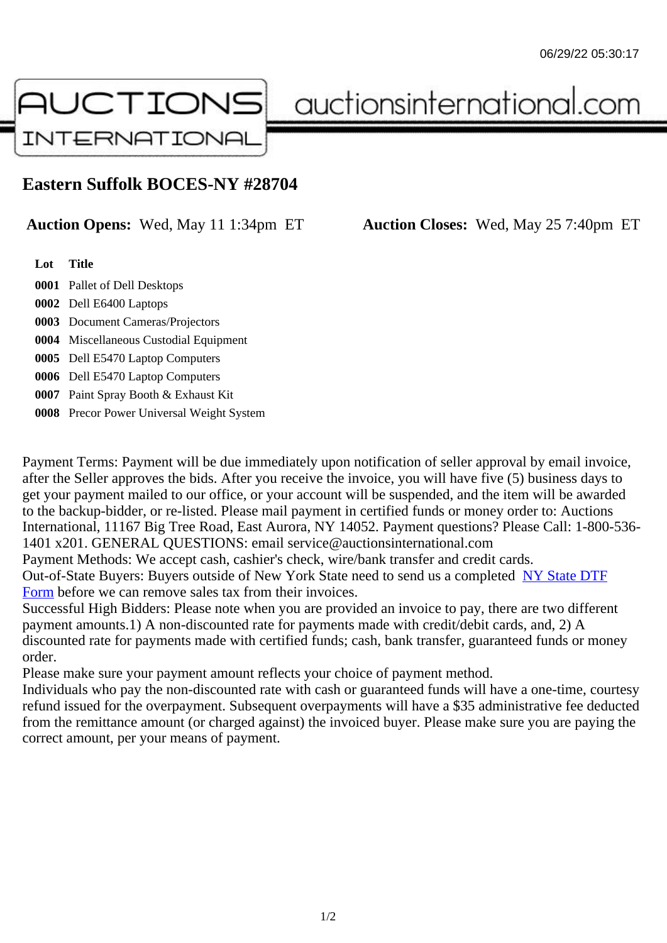## Eastern Suffolk BOCES-NY #28704

Auction Opens: Wed, May 11 1:34pm ET Auction Closes: Wed, May 25 7:40pm ET

Lot Title

- 0001 Pallet of Dell Desktops
- 0002 Dell E6400 Laptops
- 0003 Document Cameras/Projectors
- 0004 Miscellaneous Custodial Equipment
- 0005 Dell E5470 Laptop Computers
- 0006 Dell E5470 Laptop Computers
- 0007 Paint Spray Booth & Exhaust Kit
- 0008 Precor Power Universal Weight System

Payment Terms: Payment will be due immediately upon notification of seller approval by email invoice, after the Seller approves the bids. After you receive the invoice, you will have five (5) business days to get your payment mailed to our office, or your account will be suspended, and the item will be awarded to the backup-bidder, or re-listed. Please mail payment in certified funds or money order to: Auctions International, 11167 Big Tree Road, East Aurora, NY 14052. Payment questions? Please Call: 1-800-53 1401 x201. GENERAL QUESTIONS: email service@auctionsinternational.com

Payment Methods: We accept cash, cashier's check, wire/bank transfer and credit cards.

Out-of-State Buyers: Buyers outside of New York State need to send us a com blestate DTF Form before we can remove sales tax from their invoices.

Successful High Bidders: Please note when you are provided an invoice to pay, there are two different payment amounts.1) A non-discounted rate for payments made with credit/de[bit cards, and](https://www.auctionsinternational.com/auxiliary/downloads/DTF_Form/dtf_fill_in.pdf), 2) A [disco](https://www.auctionsinternational.com/auxiliary/downloads/DTF_Form/dtf_fill_in.pdf)unted rate for payments made with certified funds; cash, bank transfer, guaranteed funds or mone order.

Please make sure your payment amount reflects your choice of payment method.

Individuals who pay the non-discounted rate with cash or guaranteed funds will have a one-time, courte refund issued for the overpayment. Subsequent overpayments will have a \$35 administrative fee deduc from the remittance amount (or charged against) the invoiced buyer. Please make sure you are paying correct amount, per your means of payment.